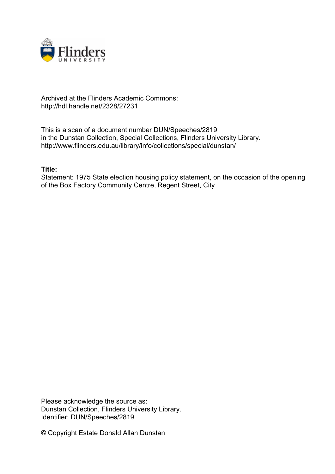

# Archived at the Flinders Academic Commons: http://hdl.handle.net/2328/27231

This is a scan of a document number DUN/Speeches/2819 in the Dunstan Collection, Special Collections, Flinders University Library. http://www.flinders.edu.au/library/info/collections/special/dunstan/

# **Title:**

Statement: 1975 State election housing policy statement, on the occasion of the opening of the Box Factory Community Centre, Regent Street, City

Please acknowledge the source as: Dunstan Collection, Flinders University Library. Identifier: DUN/Speeches/2819

© Copyright Estate Donald Allan Dunstan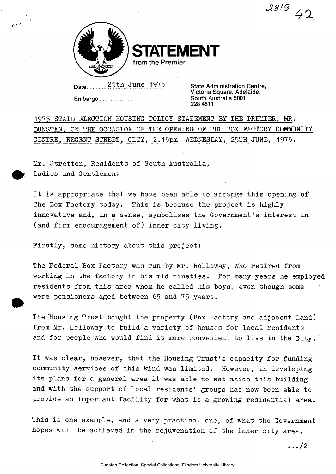$48/9$  42



**STATEMENT from the Premier** 

**Date** 25th June 1975 **State Administration Centre,** 

**Embargo** 

**Victoria Square, Adelaide, South Australia 5001 228 4811** 

1975 STATE ELECTION HOUSING POLICY STATEMENT BY THE PREMIER, MR. DUNSTAN, ON THE OCCASION OF THE OPENING OF THE BOX FACTORY COMMUNITY CENTRE, REGENT STREET, CITY, 2.15pm WEDNESDAY, 25TH JUNE, 1975-

Mr. Stretton, Residents of South Australia, Ladies and Gentlemen:

It is appropriate that we have been able to arrange this opening of The Box Factory today. This is because the project is highly innovative and, in a sense, symbolises the Government's interest in (and firm encouragement of) inner city living.

Firstly, some history about this project:

The Federal Box Factory was run by Mr. Holloway, who retired from working in the factory in his mid nineties. For many years he employed residents from this area whom he called his boys, even though some were pensioners aged between 65 and 75 years.

The Housing Trust bought the property (Box Factory and adjacent land) from Mr. Holloway to build a variety of houses for local residents and for people who would find it more convenient to live in the City.

It was clear, however, that the Housing Trust's capacity for funding community services of this kind was limited. However, in developing its plans for a general area it was able to set aside this building and with the support of local residents' groups has now been able to provide an important facility for what is a growing residential area.

This is one example, and a very practical one, of what the Government hopes will be achieved in the rejuvenation of the inner city area.

 $\cdots/2$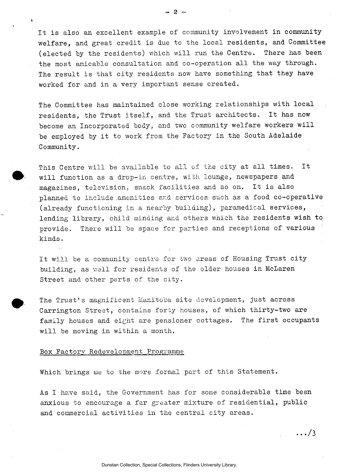It is also an excellent example of community involvement in community welfare, and great credit is due to the local residents, and Committee (elected by the residents) which will run the Centre. There has been the most amicable consultation and co-operation all the way through. The result is that city residents now have something that they have worked for and in a very important sense created.

The Committee has maintained close working relationships with local residents, the Trust itself, and the Trust architects. It has now become an Incorporated body, and two community welfare workers will be employed by it to work from the Factory in the South Adelaide Community.

This Centre will be available to all of the city at all times. It will function as a drop-in centre, with lounge, newspapers and magazines, television, snack facilities and so on. It is also planned to include .amenities and services such as a food co-operative (already functioning in a nearby building), paramedical services, lending library, child minding and others which the residents wish to provide. There will be space for parties and receptions of various kinds.

It will be a community centre for two areas of Housing Trust city building, as well for residents of the older houses in McLaren Street and other parts of the city.

The Trust's magnificent Manitoba site development, just across Carrington Street, contains forty houses, of which thirty-two are family houses and eight are pensioner cottages. The first occupants will be moving in within a month.

## Box Factory Redevelopment Programme

Which brings me to the more formal part of this Statement.

As I have said, the Government has for some considerable time been anxious to encourage a far greater mixture of residential, public and commercial activities in the central city areas.

**- 2 -**

 $\ldots/3$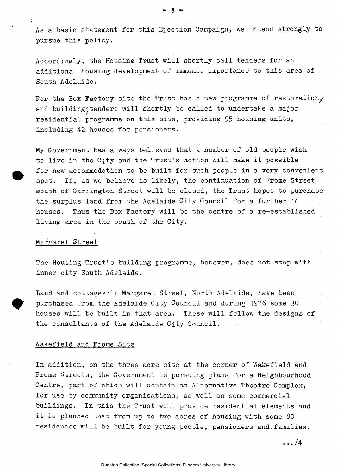As a basic statement for this Election Campaign, we intend strongly to pursue this policy.

 $-3.5$ 

Accordingly, the Housing Trust will shortly call tenders for an additional housing development of immense importance to this area of South Adelaide.

For the Box Factory site the Trust has a new programme of restoration, and building\*tenders will shortly be called to undertake a major residential programme on this site, providing 95 housing units, including 42 houses for pensioners.

My Government has always believed that a number of old people wish to live in the  $C_1$ ty and the Trust's action will make it possible for new accommodation to be built for such people in a very convenient spot. If, as we believe is likely, the continuation of Frome Street south of Carrington Street will be closed, the Trust hopes to purchase the surplus land from the Adelaide City Council for a further 14 houses. Thus the Box Factory will be the centre of a re-established living area in the south of the City.

#### Margaret Street

The Housing Trust's building programme, however, does not stop with inner city South Adelaide.

Land and cottages in Margaret Street, North Adelaide, have been purchased from the Adelaide City Council and during 1976 some 30 houses will be built in that area. These will follow the designs of the consultants of the Adelaide City Council.

#### Wakefield and Frome Site

In addition, on the three acre site at the corner of Wakefield and Frome Streets, the Government is pursuing plans for a Neighbourhood Centre, part of which will contain an Alternative Theatre Complex, for use by community organisations, as well as some commercial buildings. In this the Trust will provide residential elements and it is planned that from up to two acres of housing with some 80 residences will be built for young people, pensioners and families.

 $\ldots/4$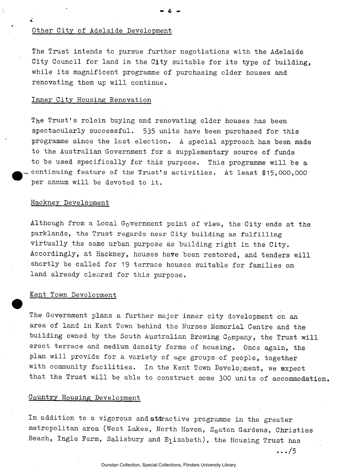#### Other City of Adelaide Development

÷

The Trust intends to pursue further negotiations with the Adelaide City Council for land in the City suitable for its type of building, while its magnificent programme of purchasing older houses and renovating them up will continue.

# Inner City Housing Renovation

The Trust's rolein buying and renovating older houses has been spectacularly successful. 535 units have been purchased for this programme since the last election. A special approach has been made to the Australian Government for a supplementary source of funds to be used specifically for this purpose. This programme will be a continuing feature of the Trust's activities. At least \$15,000,000 per annum will be devoted to it.

#### Hackney Development

Although from a Local Government point of view, the City ends at the parklands, the Trust regards near City building as fulfilling virtually the same urban purpose as building right in the City. Accordingly, at Hackney, houses have been restored, and tenders will shortly be called for 19 terrace houses suitable for families on land already cleared for this purpose.

# Kent Town Development

The Government plans a further major inner city development on an area of land in Kent Town behind the Nurses Memorial Centre and the building owned by the South Australian Brewing Company, the Trust will erect terrace and medium density forms of housing. Once again, the plan will provide for a variety of age groups-of people, together with community facilities. In the Kent Town Development, we ®xpect that the Trust will be able to construct some 300 units of accommodation.

# Country Housing Development

In addition to a vigorous and atdractive programme in the greater metropolitan area (West Lakes, North Haven, Seaton Gardens, Christies Beach, Ingle Farm, Salisbury and  $E_1$ izabeth), the Housing Trust has

.. ./5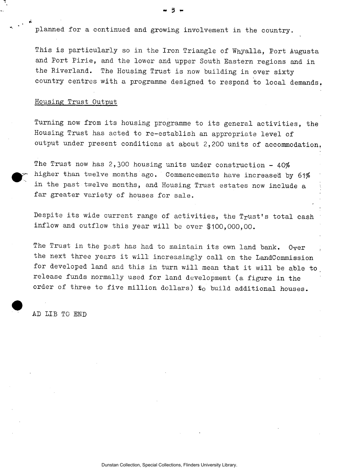planned for a continued and growing involvement in the country.

This is particularly so in the Iron Triangle of Whyalla, Port Augusta and Port Pirie, and the lower and upper South Eastern regions and in the Riverland. The Housing Trust is now building in over sixty country centres with a programme designed to respond to local demands.

#### Housing Trust Output

Turning now from its housing programme to its general activities, the Housing Trust has acted to re-establish an appropriate level of output under present conditions at about 2,200 units of accommodation.

The Trust now has 2,300 housing units under construction - 40% higher than twelve months ago. Commencements have increased by 61% in the past twelve months, and Housing Trust estates now include a far greater variety of houses for sale.

Despite its wide current range of activities, the Trust's total cash inflow and outflow this year will be over \$100,000,00.

The Trust in the past has had to maintain its own land bank. Over the next three years it will increasingly call on the LandCommission for developed land and this in turn will mean that it will be able to release funds normally used for land development (a figure in the order of three to five million dollars)  $t_0$  build additional houses.

AD LIB TO END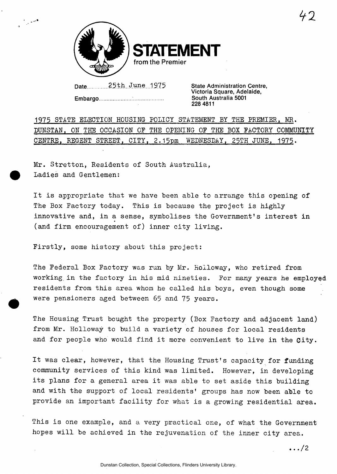

**IFNT from the Premier** 

Date 25th June 1975 State Administration Centre,

**Embargo** 

**Victoria Square, Adelaide, South Australia 5001 228 4811** 

1975 STATE ELECTION HOUSING- POLICY STATEMENT BY THE PREMIER, MR. DUNSTAN, ON THE OCCASION OF THE OPENING OF THE BOX FACTORY COMMUNITY CENTRE, REGENT STREET, CITY, 2.15pm WEDNESDAY, 25TH JUNE, 1975.

Mr. Stretton, Residents of South Australia, Ladies and Gentlemen:

It is appropriate that we have been able to arrange this opening of The Box Factory today. This is because the project is highly innovative and, in a sense, symbolises the Government's interest in (and firm encouragement of) inner city living.

Firstly, some history about this project:

The Federal Box Factory was run by Mr. Holloway, who retired from working in the factory in his mid nineties. For many years he employed residents from this area whom he called his boys, even though some were pensioners aged between 65 and 75 years.

The Housing Trust bought the property (Box Factory and adjacent land) from Mr. Holloway to build a variety of houses for local residents and for people who would find it more convenient to live in the Gity.

It was clear, however, that the Housing Trust's capacity for funding community services of this kind was limited. However, in developing its plans for a general area it was able to set aside this building and with the support of local residents' groups has now been able to provide an important facility for what is a growing residential area.

This is one example, and a very practical one, of what the Government hopes will be achieved in the rejuvenation of the inner city area.

 $\ldots$ /2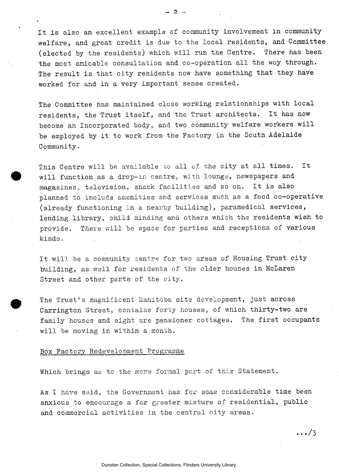It is also an excellent example of community involvement in community welfare, and great credit is due to the local residents, and Committee (elected by the residents) which will run the Centre. There has been the most amicable consultation and co-operation all the way through. The result is that city residents now have something that they have worked for and in a very important sense created.

The Committee has maintained close working relationships with local residents, the Trust itself, and the Trust architects. It has now become an Incorporated body, and two community welfare workers will be employed by it to work from the Factory in the South Adelaide Community.

This Centre will be available to all of the city at all times. It will function as a drop-in centre, with lounge, newspapers and magazines, television, snack facilities and so on. It is also planned to include amenities and services such as a food co-operative (already functioning in a nearby building), paramedical services, lending library, child minding and others which the residents wish to provide. There will be space for parties and receptions of various kinds.

It will be a community centre for two areas of Housing Trust city building, as well for residents of the older houses in McLaren Street and other parts of the city.

The Trust's magnificent Manitoba site development, just across Carrington Street, contains forty houses, of which thirty-two are family houses and eight are pensioner cottages. The first occupants will be moving in within a month.

#### Box Factory Redevelopment Programme

Which brings me to the more formal part of this Statement.

As I have said, the Government has for some considerable time been anxious to encourage a far greater mixture of residential, public and commercial activities in the central city areas.

**. . ./ 3** 

Dunstan Collection, Special Collections, Flinders University Library.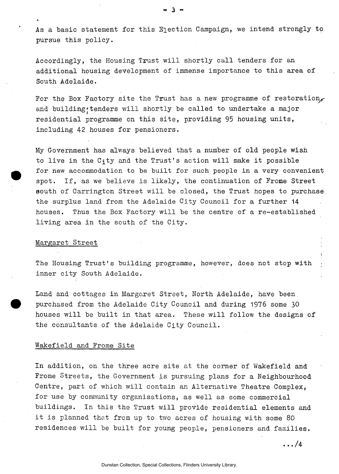As a basic statement for this Election Campaign, we intend strongly to pursue this policy.

Accordingly, the Housing Trust will shortly call tenders for an additional housing development of immense importance to this area of South Adelaide.

For the Box Factory site the Trust has a new programme of restoration, and building tenders will shortly be called to undertake a major residential programme on this site, providing 95 housing units, including 42 houses for pensioners.

My Government has always believed that a number of old people wish to live in the  $C_1$ ty and the Trust's action will make it possible for new accommodation to be built for such people in a very convenient spot. If, as we believe is likely, the continuation of Frome Street south of Carrington Street will be closed, the Trust hopes to purchase the surplus land from the Adelaide City Council for a further 14 houses. Thus the Box Factory will be the centre of a re-established living area in the south of the City.

## Margaret Street

The Housing Trust's building programme, however, does not stop with inner city South Adelaide.

Land and cottages in Margaret Street, North Adelaide, have been purchased from the Adelaide City Council and during 1976 some 30 houses will be built in that area. These will follow the designs of the consultants of the Adelaide City Council.

# Wakefield and Frome Site

In addition, on the three acre site at the corner of Wakefield and Frome Streets, the Government is pursuing plans for a Neighbourhood Centre, part of which will contain an Alternative Theatre Complex, for use by community organisations, as well as some commercial buildings. In this the Trust will provide residential elements and it is planned that from up to.two acres of housing with some 80 residences will be built for young people, pensioners and families.

 $\cdots$ /4

!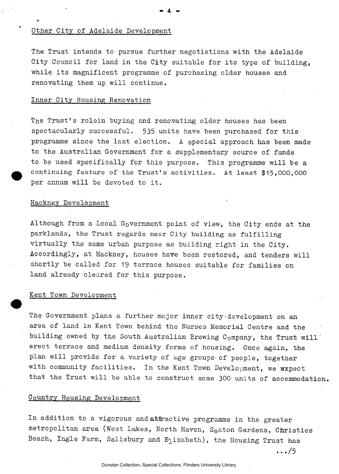# Other City of Adelaide Development

The Trust intends to pursue further negotiations with the Adelaide City Council for land in the City suitable for its type of building, while its magnificent programme of purchasing older houses and renovating them up will continue.

**- 4 -**

# Inner City Housing Renovation

The Trust's rolein buying and renovating older houses has been spectacularly successful. 535 units have been purchased for this programme since the last election. A special approach has been made to the Australian Government for a supplementary source of funds to be used specifically for this purpose. This programme will be a continuing feature of the Trust's activities. At least \$15,000,000 per annum will be devoted to it.

## Hackney Development

Although from a Local Government point of view, the City ends at the parklands, the Trust regards near City building as fulfilling virtually the same urban purpose as building right in the City. Accordingly, at Hackney, houses have been restored, and tenders will shortly be called for 19 terrace houses suitable for families on land already cleared for this purpose.

## Kent Town Development

The Government plans a further major inner city•development on an area of land in Kent Town behind the Nurses Memorial Centre and the building owned by the South Australian Brewing Company, the Trust will' erect terrace and medium density forms of housing. Once again, the plan will provide for a variety of age groups of people, together with community facilities. In the Kent Town Development, we expect that the Trust will be able to construct some 300 units of accommodation.

# Country Housing Development

In addition to a vigorous and attractive programme in the greater metropolitan area (West Lakes, North Haven, S<sub>e</sub>aton Gardens, Christies Beach, Ingle Farm, Salisbury and E<sub>l</sub>izabeth), the Housing Trust has

.. ./5